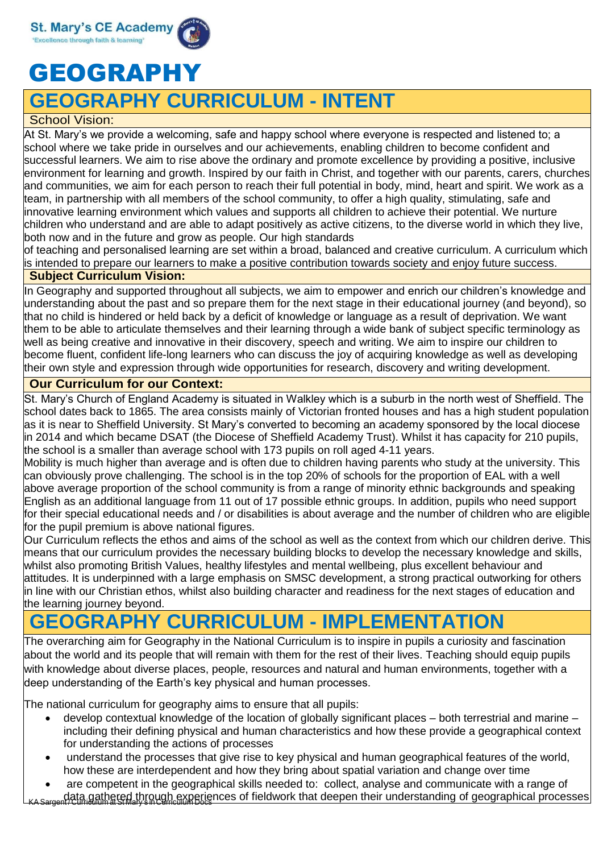

# GEOGRAPHY

## **GEOGRAPHY CURRICULUM - INTENT**

### School Vision:

At St. Mary's we provide a welcoming, safe and happy school where everyone is respected and listened to; a school where we take pride in ourselves and our achievements, enabling children to become confident and successful learners. We aim to rise above the ordinary and promote excellence by providing a positive, inclusive environment for learning and growth. Inspired by our faith in Christ, and together with our parents, carers, churches and communities, we aim for each person to reach their full potential in body, mind, heart and spirit. We work as a team, in partnership with all members of the school community, to offer a high quality, stimulating, safe and innovative learning environment which values and supports all children to achieve their potential. We nurture children who understand and are able to adapt positively as active citizens, to the diverse world in which they live, both now and in the future and grow as people. Our high standards

of teaching and personalised learning are set within a broad, balanced and creative curriculum. A curriculum which is intended to prepare our learners to make a positive contribution towards society and enjoy future success.

#### **Subject Curriculum Vision:**

In Geography and supported throughout all subjects, we aim to empower and enrich our children's knowledge and understanding about the past and so prepare them for the next stage in their educational journey (and beyond), so that no child is hindered or held back by a deficit of knowledge or language as a result of deprivation. We want them to be able to articulate themselves and their learning through a wide bank of subject specific terminology as well as being creative and innovative in their discovery, speech and writing. We aim to inspire our children to become fluent, confident life-long learners who can discuss the joy of acquiring knowledge as well as developing their own style and expression through wide opportunities for research, discovery and writing development.

### **Our Curriculum for our Context:**

St. Mary's Church of England Academy is situated in Walkley which is a suburb in the north west of Sheffield. The school dates back to 1865. The area consists mainly of Victorian fronted houses and has a high student population as it is near to Sheffield University. St Mary's converted to becoming an academy sponsored by the local diocese in 2014 and which became DSAT (the Diocese of Sheffield Academy Trust). Whilst it has capacity for 210 pupils, the school is a smaller than average school with 173 pupils on roll aged 4-11 years.

Mobility is much higher than average and is often due to children having parents who study at the university. This can obviously prove challenging. The school is in the top 20% of schools for the proportion of EAL with a well above average proportion of the school community is from a range of minority ethnic backgrounds and speaking English as an additional language from 11 out of 17 possible ethnic groups. In addition, pupils who need support for their special educational needs and / or disabilities is about average and the number of children who are eligible for the pupil premium is above national figures.

Our Curriculum reflects the ethos and aims of the school as well as the context from which our children derive. This means that our curriculum provides the necessary building blocks to develop the necessary knowledge and skills, whilst also promoting British Values, healthy lifestyles and mental wellbeing, plus excellent behaviour and attitudes. It is underpinned with a large emphasis on SMSC development, a strong practical outworking for others in line with our Christian ethos, whilst also building character and readiness for the next stages of education and the learning journey beyond.

### **GEOGRAPHY CURRICULUM - IMPLEMENTATION**

The overarching aim for Geography in the National Curriculum is to inspire in pupils a curiosity and fascination about the world and its people that will remain with them for the rest of their lives. Teaching should equip pupils with knowledge about diverse places, people, resources and natural and human environments, together with a deep understanding of the Earth's key physical and human processes.

The national curriculum for geography aims to ensure that all pupils:

- develop contextual knowledge of the location of globally significant places both terrestrial and marine including their defining physical and human characteristics and how these provide a geographical context for understanding the actions of processes
- understand the processes that give rise to key physical and human geographical features of the world, how these are interdependent and how they bring about spatial variation and change over time
- KASargent/Curriculum at St Mary's in Curriculum Docs not fieldwork that deepen their understanding of geographical processes<br>KASargent/Curriculum at St Mary's in Curriculum Docs • are competent in the geographical skills needed to: collect, analyse and communicate with a range of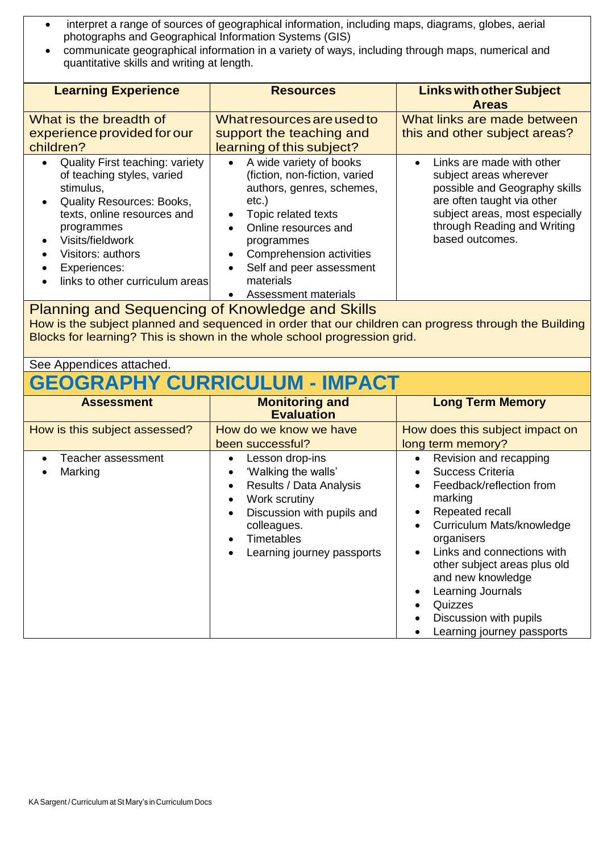- interpret a range of sources of geographical information, including maps, diagrams, globes, aerial photographs and Geographical Information Systems (GIS)
- communicate geographical information in a variety of ways, including through maps, numerical and quantitative skills and writing at length.

| <b>Learning Experience</b>                                                                                                                                                                                                                                                  | <b>Resources</b>                                                                                                                                                                                                                                                                                                                          | <b>Links with other Subject</b><br><b>Areas</b>                                                                                                                                                                     |  |
|-----------------------------------------------------------------------------------------------------------------------------------------------------------------------------------------------------------------------------------------------------------------------------|-------------------------------------------------------------------------------------------------------------------------------------------------------------------------------------------------------------------------------------------------------------------------------------------------------------------------------------------|---------------------------------------------------------------------------------------------------------------------------------------------------------------------------------------------------------------------|--|
| What is the breadth of<br>experience provided for our<br>children?                                                                                                                                                                                                          | What resources are used to<br>support the teaching and<br>learning of this subject?                                                                                                                                                                                                                                                       | What links are made between<br>this and other subject areas?                                                                                                                                                        |  |
| <b>Quality First teaching: variety</b><br>$\bullet$<br>of teaching styles, varied<br>stimulus,<br><b>Quality Resources: Books,</b><br>texts, online resources and<br>programmes<br>Visits/fieldwork<br>Visitors: authors<br>Experiences:<br>links to other curriculum areas | A wide variety of books<br>$\bullet$<br>(fiction, non-fiction, varied<br>authors, genres, schemes,<br>$etc.$ )<br>Topic related texts<br>$\bullet$<br>Online resources and<br>$\bullet$<br>programmes<br>Comprehension activities<br>$\bullet$<br>Self and peer assessment<br>$\bullet$<br>materials<br>Assessment materials<br>$\bullet$ | Links are made with other<br>$\bullet$<br>subject areas wherever<br>possible and Geography skills<br>are often taught via other<br>subject areas, most especially<br>through Reading and Writing<br>based outcomes. |  |

### Planning and Sequencing of Knowledge and Skills

How is the subject planned and sequenced in order that our children can progress through the Building Blocks for learning? This is shown in the whole school progression grid.

### See Appendices attached.

# **GEOGRAPHY CURRICULUM - IMPACT**

| <b>Assessment</b>             | <b>Monitoring and</b><br><b>Evaluation</b>                                                                                                                                                                                                                                    | <b>Long Term Memory</b>                                                                                                                                                                                                                                                                                                                 |
|-------------------------------|-------------------------------------------------------------------------------------------------------------------------------------------------------------------------------------------------------------------------------------------------------------------------------|-----------------------------------------------------------------------------------------------------------------------------------------------------------------------------------------------------------------------------------------------------------------------------------------------------------------------------------------|
| How is this subject assessed? | How do we know we have<br>been successful?                                                                                                                                                                                                                                    | How does this subject impact on<br>long term memory?                                                                                                                                                                                                                                                                                    |
| Teacher assessment<br>Marking | Lesson drop-ins<br>$\bullet$<br>'Walking the walls'<br>$\bullet$<br>Results / Data Analysis<br>$\bullet$<br>Work scrutiny<br>$\bullet$<br>Discussion with pupils and<br>$\bullet$<br>colleagues.<br><b>Timetables</b><br>$\bullet$<br>Learning journey passports<br>$\bullet$ | Revision and recapping<br>Success Criteria<br>Feedback/reflection from<br>marking<br>Repeated recall<br>Curriculum Mats/knowledge<br>organisers<br>Links and connections with<br>$\bullet$<br>other subject areas plus old<br>and new knowledge<br>Learning Journals<br>Quizzes<br>Discussion with pupils<br>Learning journey passports |